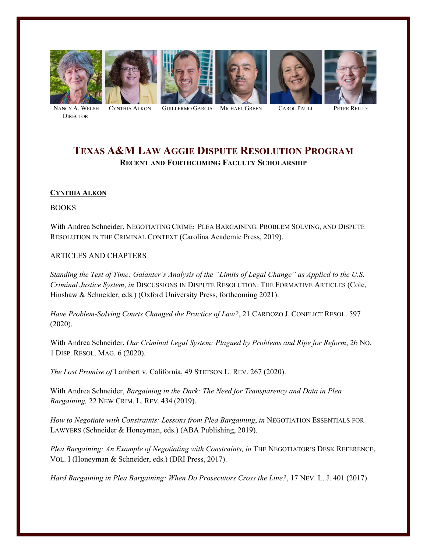











**DIRECTOR** 

NANCY A. WELSH CYNTHIA ALKON GUILLERMO GARCIA MICHAEL GREEN CAROL PAULI PETER REILLY

# **TEXAS A&M LAW AGGIE DISPUTE RESOLUTION PROGRAM RECENT AND FORTHCOMING FACULTY SCHOLARSHIP**

# **CYNTHIA ALKON**

BOOKS

With Andrea Schneider, NEGOTIATING CRIME: PLEA BARGAINING, PROBLEM SOLVING, AND DISPUTE RESOLUTION IN THE CRIMINAL CONTEXT (Carolina Academic Press, 2019).

# ARTICLES AND CHAPTERS

*Standing the Test of Time: Galanter's Analysis of the "Limits of Legal Change" as Applied to the U.S. Criminal Justice System*, *in* DISCUSSIONS IN DISPUTE RESOLUTION: THE FORMATIVE ARTICLES (Cole, Hinshaw & Schneider, eds.) (Oxford University Press, forthcoming 2021).

*Have Problem-Solving Courts Changed the Practice of Law?*, 21 CARDOZO J. CONFLICT RESOL. 597 (2020).

With Andrea Schneider, *Our Criminal Legal System: Plagued by Problems and Ripe for Reform*, 26 NO. 1 DISP. RESOL. MAG. 6 (2020).

*The Lost Promise of* Lambert v. California, 49 STETSON L. REV. 267 (2020).

With Andrea Schneider, *Bargaining in the Dark: The Need for Transparency and Data in Plea Bargaining,* 22 NEW CRIM. L. REV. 434 (2019).

*How to Negotiate with Constraints: Lessons from Plea Bargaining*, *in* NEGOTIATION ESSENTIALS FOR LAWYERS (Schneider & Honeyman, eds.) (ABA Publishing, 2019).

Plea Bargaining: An Example of Negotiating with Constraints, in THE NEGOTIATOR'S DESK REFERENCE, VOL. I (Honeyman & Schneider, eds.) (DRI Press, 2017).

*Hard Bargaining in Plea Bargaining: When Do Prosecutors Cross the Line?*, 17 NEV. L. J. 401 (2017).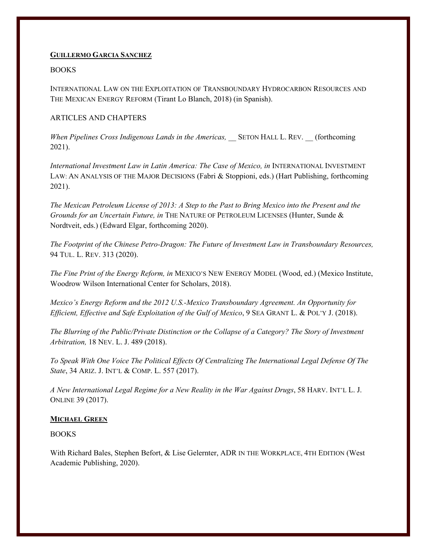#### **GUILLERMO GARCIA SANCHEZ**

#### BOOKS

INTERNATIONAL LAW ON THE EXPLOITATION OF TRANSBOUNDARY HYDROCARBON RESOURCES AND THE MEXICAN ENERGY REFORM (Tirant Lo Blanch, 2018) (in Spanish).

#### ARTICLES AND CHAPTERS

*When Pipelines Cross Indigenous Lands in the Americas,* SETON HALL L. REV. (forthcoming 2021).

*International Investment Law in Latin America: The Case of Mexico, in* INTERNATIONAL INVESTMENT LAW: AN ANALYSIS OF THE MAJOR DECISIONS (Fabri & Stoppioni, eds.) (Hart Publishing, forthcoming 2021).

*The Mexican Petroleum License of 2013: A Step to the Past to Bring Mexico into the Present and the Grounds for an Uncertain Future, in* THE NATURE OF PETROLEUM LICENSES (Hunter, Sunde & Nordtveit, eds.) (Edward Elgar, forthcoming 2020).

*The Footprint of the Chinese Petro-Dragon: The Future of Investment Law in Transboundary Resources,* 94 TUL. L. REV. 313 (2020).

*The Fine Print of the Energy Reform, in* MEXICO'S NEW ENERGY MODEL (Wood, ed.) (Mexico Institute, Woodrow Wilson International Center for Scholars, 2018).

*Mexico's Energy Reform and the 2012 U.S.-Mexico Transboundary Agreement. An Opportunity for Efficient, Effective and Safe Exploitation of the Gulf of Mexico*, 9 SEA GRANT L. & POL'Y J. (2018).

*The Blurring of the Public/Private Distinction or the Collapse of a Category? The Story of Investment Arbitration,* 18 NEV. L. J. 489 (2018).

*To Speak With One Voice The Political Effects Of Centralizing The International Legal Defense Of The State*, 34 ARIZ. J. INT'L & COMP. L. 557 (2017).

*A New International Legal Regime for a New Reality in the War Against Drugs*, 58 HARV. INT'L L. J. ONLINE 39 (2017).

## **MICHAEL GREEN**

BOOKS

With Richard Bales, Stephen Befort, & Lise Gelernter, ADR IN THE WORKPLACE, 4TH EDITION (West Academic Publishing, 2020).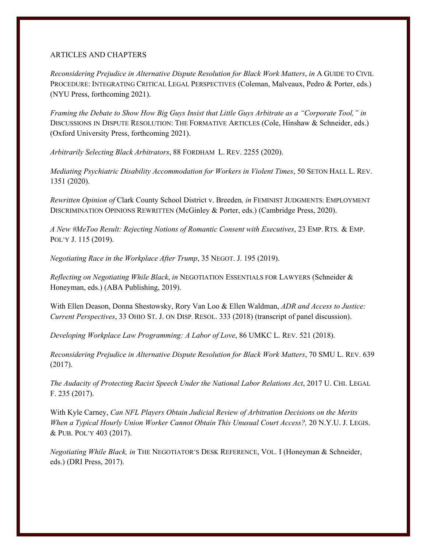#### ARTICLES AND CHAPTERS

*Reconsidering Prejudice in Alternative Dispute Resolution for Black Work Matters*, *in* A GUIDE TO CIVIL PROCEDURE: INTEGRATING CRITICAL LEGAL PERSPECTIVES (Coleman, Malveaux, Pedro & Porter, eds.) (NYU Press, forthcoming 2021).

*Framing the Debate to Show How Big Guys Insist that Little Guys Arbitrate as a "Corporate Tool," in* DISCUSSIONS IN DISPUTE RESOLUTION: THE FORMATIVE ARTICLES (Cole, Hinshaw & Schneider, eds.) (Oxford University Press, forthcoming 2021).

*Arbitrarily Selecting Black Arbitrators*, 88 FORDHAM L. REV. 2255 (2020).

*Mediating Psychiatric Disability Accommodation for Workers in Violent Times*, 50 SETON HALL L. REV. 1351 (2020).

*Rewritten Opinion of* Clark County School District v. Breeden*, in* FEMINIST JUDGMENTS: EMPLOYMENT DISCRIMINATION OPINIONS REWRITTEN (McGinley & Porter, eds.) (Cambridge Press, 2020).

*A New #MeToo Result: Rejecting Notions of Romantic Consent with Executives*, 23 EMP. RTS. & EMP. POL'Y J. 115 (2019).

*Negotiating Race in the Workplace After Trump*, 35 NEGOT. J. 195 (2019).

*Reflecting on Negotiating While Black*, *in* NEGOTIATION ESSENTIALS FOR LAWYERS (Schneider & Honeyman, eds.) (ABA Publishing, 2019).

With Ellen Deason, Donna Shestowsky, Rory Van Loo & Ellen Waldman, *ADR and Access to Justice: Current Perspectives*, 33 OHIO ST. J. ON DISP. RESOL. 333 (2018) (transcript of panel discussion).

*Developing Workplace Law Programming: A Labor of Love*, 86 UMKC L. REV. 521 (2018).

*Reconsidering Prejudice in Alternative Dispute Resolution for Black Work Matters*, 70 SMU L. REV. 639 (2017).

*The Audacity of Protecting Racist Speech Under the National Labor Relations Act*, 2017 U. CHI. LEGAL F. 235 (2017).

With Kyle Carney, *Can NFL Players Obtain Judicial Review of Arbitration Decisions on the Merits When a Typical Hourly Union Worker Cannot Obtain This Unusual Court Access?,* 20 N.Y.U. J. LEGIS. & PUB. POL'Y 403 (2017).

*Negotiating While Black, in* THE NEGOTIATOR'S DESK REFERENCE, VOL. I (Honeyman & Schneider, eds.) (DRI Press, 2017).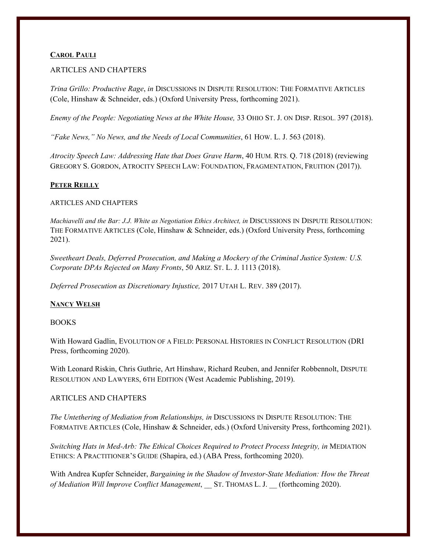## **CAROL PAULI**

## ARTICLES AND CHAPTERS

*Trina Grillo: Productive Rage*, *in* DISCUSSIONS IN DISPUTE RESOLUTION: THE FORMATIVE ARTICLES (Cole, Hinshaw & Schneider, eds.) (Oxford University Press, forthcoming 2021).

*Enemy of the People: Negotiating News at the White House,* 33 OHIO ST. J. ON DISP. RESOL. 397 (2018).

*"Fake News," No News, and the Needs of Local Communities*, 61 HOW. L. J. 563 (2018).

*Atrocity Speech Law: Addressing Hate that Does Grave Harm*, 40 HUM. RTS. Q. 718 (2018) (reviewing GREGORY S. GORDON, ATROCITY SPEECH LAW: FOUNDATION, FRAGMENTATION, FRUITION (2017)).

## **PETER REILLY**

#### ARTICLES AND CHAPTERS

*Machiavelli and the Bar: J.J. White as Negotiation Ethics Architect, in* DISCUSSIONS IN DISPUTE RESOLUTION: THE FORMATIVE ARTICLES (Cole, Hinshaw & Schneider, eds.) (Oxford University Press, forthcoming 2021).

*Sweetheart Deals, Deferred Prosecution, and Making a Mockery of the Criminal Justice System: U.S. Corporate DPAs Rejected on Many Fronts*, 50 ARIZ. ST. L. J. 1113 (2018).

*Deferred Prosecution as Discretionary Injustice,* 2017 UTAH L. REV. 389 (2017).

## **NANCY WELSH**

#### BOOKS

With Howard Gadlin, EVOLUTION OF A FIELD: PERSONAL HISTORIES IN CONFLICT RESOLUTION (DRI Press, forthcoming 2020).

With Leonard Riskin, Chris Guthrie, Art Hinshaw, Richard Reuben, and Jennifer Robbennolt, DISPUTE RESOLUTION AND LAWYERS, 6TH EDITION (West Academic Publishing, 2019).

## ARTICLES AND CHAPTERS

*The Untethering of Mediation from Relationships, in* DISCUSSIONS IN DISPUTE RESOLUTION: THE FORMATIVE ARTICLES (Cole, Hinshaw & Schneider, eds.) (Oxford University Press, forthcoming 2021).

*Switching Hats in Med-Arb: The Ethical Choices Required to Protect Process Integrity, in MEDIATION* ETHICS: A PRACTITIONER'S GUIDE (Shapira, ed.) (ABA Press, forthcoming 2020).

With Andrea Kupfer Schneider, *Bargaining in the Shadow of Investor-State Mediation: How the Threat of Mediation Will Improve Conflict Management*, ST. THOMAS L. J. (forthcoming 2020).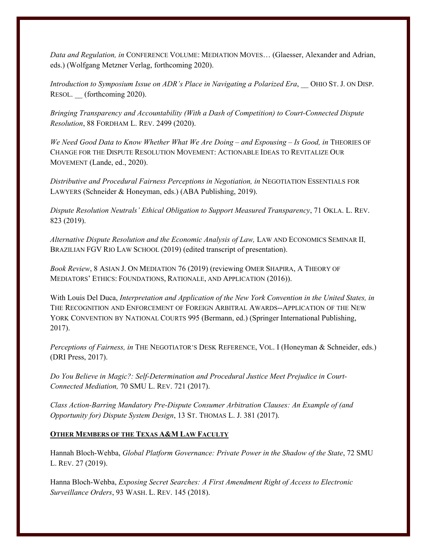*Data and Regulation, in* CONFERENCE VOLUME: MEDIATION MOVES… (Glaesser, Alexander and Adrian, eds.) (Wolfgang Metzner Verlag, forthcoming 2020).

*Introduction to Symposium Issue on ADR's Place in Navigating a Polarized Era*, \_\_ OHIO ST. J. ON DISP. RESOL. (forthcoming 2020).

*Bringing Transparency and Accountability (With a Dash of Competition) to Court-Connected Dispute Resolution*, 88 FORDHAM L. REV. 2499 (2020).

*We Need Good Data to Know Whether What We Are Doing – and Espousing – Is Good, in THEORIES OF* CHANGE FOR THE DISPUTE RESOLUTION MOVEMENT: ACTIONABLE IDEAS TO REVITALIZE OUR MOVEMENT (Lande, ed., 2020).

*Distributive and Procedural Fairness Perceptions in Negotiation, in* NEGOTIATION ESSENTIALS FOR LAWYERS (Schneider & Honeyman, eds.) (ABA Publishing, 2019).

*Dispute Resolution Neutrals' Ethical Obligation to Support Measured Transparency*, 71 OKLA. L. REV. 823 (2019).

*Alternative Dispute Resolution and the Economic Analysis of Law,* LAW AND ECONOMICS SEMINAR II, BRAZILIAN FGV RIO LAW SCHOOL (2019) (edited transcript of presentation).

*Book Review*, 8 ASIAN J. ON MEDIATION 76 (2019) (reviewing OMER SHAPIRA, A THEORY OF MEDIATORS' ETHICS: FOUNDATIONS, RATIONALE, AND APPLICATION (2016)).

With Louis Del Duca, *Interpretation and Application of the New York Convention in the United States, in* THE RECOGNITION AND ENFORCEMENT OF FOREIGN ARBITRAL AWARDS--APPLICATION OF THE NEW YORK CONVENTION BY NATIONAL COURTS 995 (Bermann, ed.) (Springer International Publishing, 2017).

*Perceptions of Fairness, in* THE NEGOTIATOR'S DESK REFERENCE, VOL. I (Honeyman & Schneider, eds.) (DRI Press, 2017).

*Do You Believe in Magic?: Self-Determination and Procedural Justice Meet Prejudice in Court-Connected Mediation,* 70 SMU L. REV. 721 (2017).

*Class Action-Barring Mandatory Pre-Dispute Consumer Arbitration Clauses: An Example of (and Opportunity for) Dispute System Design*, 13 ST. THOMAS L. J. 381 (2017).

# **OTHER MEMBERS OF THE TEXAS A&M LAW FACULTY**

Hannah Bloch-Wehba, *Global Platform Governance: Private Power in the Shadow of the State*, 72 SMU L. REV. 27 (2019).

Hanna Bloch-Wehba, *Exposing Secret Searches: A First Amendment Right of Access to Electronic Surveillance Orders*, 93 WASH. L. REV. 145 (2018).